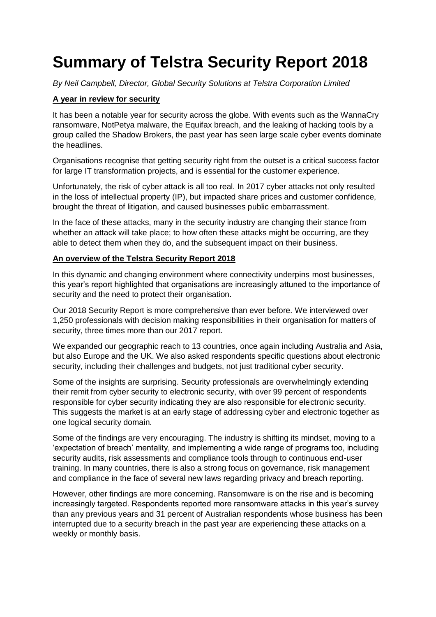# **Summary of Telstra Security Report 2018**

*By Neil Campbell, Director, Global Security Solutions at Telstra Corporation Limited*

# **A year in review for security**

It has been a notable year for security across the globe. With events such as the WannaCry ransomware, NotPetya malware, the Equifax breach, and the leaking of hacking tools by a group called the Shadow Brokers, the past year has seen large scale cyber events dominate the headlines.

Organisations recognise that getting security right from the outset is a critical success factor for large IT transformation projects, and is essential for the customer experience.

Unfortunately, the risk of cyber attack is all too real. In 2017 cyber attacks not only resulted in the loss of intellectual property (IP), but impacted share prices and customer confidence, brought the threat of litigation, and caused businesses public embarrassment.

In the face of these attacks, many in the security industry are changing their stance from whether an attack will take place; to how often these attacks might be occurring, are they able to detect them when they do, and the subsequent impact on their business.

## **An overview of the Telstra Security Report 2018**

In this dynamic and changing environment where connectivity underpins most businesses, this year's report highlighted that organisations are increasingly attuned to the importance of security and the need to protect their organisation.

Our 2018 Security Report is more comprehensive than ever before. We interviewed over 1,250 professionals with decision making responsibilities in their organisation for matters of security, three times more than our 2017 report.

We expanded our geographic reach to 13 countries, once again including Australia and Asia, but also Europe and the UK. We also asked respondents specific questions about electronic security, including their challenges and budgets, not just traditional cyber security.

Some of the insights are surprising. Security professionals are overwhelmingly extending their remit from cyber security to electronic security, with over 99 percent of respondents responsible for cyber security indicating they are also responsible for electronic security. This suggests the market is at an early stage of addressing cyber and electronic together as one logical security domain.

Some of the findings are very encouraging. The industry is shifting its mindset, moving to a 'expectation of breach' mentality, and implementing a wide range of programs too, including security audits, risk assessments and compliance tools through to continuous end-user training. In many countries, there is also a strong focus on governance, risk management and compliance in the face of several new laws regarding privacy and breach reporting.

However, other findings are more concerning. Ransomware is on the rise and is becoming increasingly targeted. Respondents reported more ransomware attacks in this year's survey than any previous years and 31 percent of Australian respondents whose business has been interrupted due to a security breach in the past year are experiencing these attacks on a weekly or monthly basis.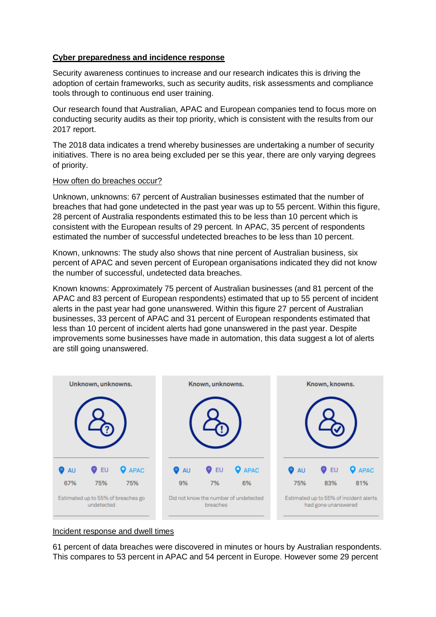## **Cyber preparedness and incidence response**

Security awareness continues to increase and our research indicates this is driving the adoption of certain frameworks, such as security audits, risk assessments and compliance tools through to continuous end user training.

Our research found that Australian, APAC and European companies tend to focus more on conducting security audits as their top priority, which is consistent with the results from our 2017 report.

The 2018 data indicates a trend whereby businesses are undertaking a number of security initiatives. There is no area being excluded per se this year, there are only varying degrees of priority.

#### How often do breaches occur?

Unknown, unknowns: 67 percent of Australian businesses estimated that the number of breaches that had gone undetected in the past year was up to 55 percent. Within this figure, 28 percent of Australia respondents estimated this to be less than 10 percent which is consistent with the European results of 29 percent. In APAC, 35 percent of respondents estimated the number of successful undetected breaches to be less than 10 percent.

Known, unknowns: The study also shows that nine percent of Australian business, six percent of APAC and seven percent of European organisations indicated they did not know the number of successful, undetected data breaches.

Known knowns: Approximately 75 percent of Australian businesses (and 81 percent of the APAC and 83 percent of European respondents) estimated that up to 55 percent of incident alerts in the past year had gone unanswered. Within this figure 27 percent of Australian businesses, 33 percent of APAC and 31 percent of European respondents estimated that less than 10 percent of incident alerts had gone unanswered in the past year. Despite improvements some businesses have made in automation, this data suggest a lot of alerts are still going unanswered.



#### Incident response and dwell times

61 percent of data breaches were discovered in minutes or hours by Australian respondents. This compares to 53 percent in APAC and 54 percent in Europe. However some 29 percent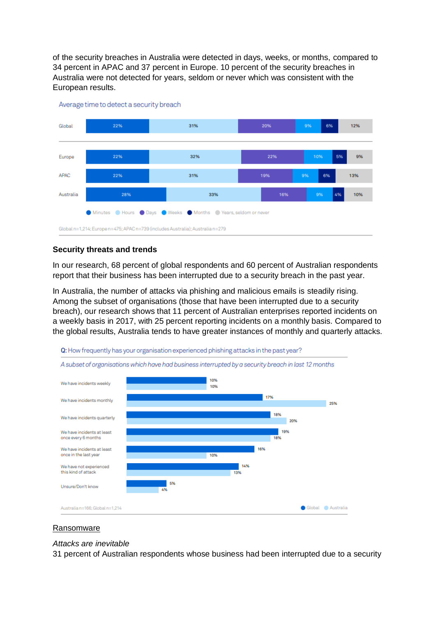of the security breaches in Australia were detected in days, weeks, or months, compared to 34 percent in APAC and 37 percent in Europe. 10 percent of the security breaches in Australia were not detected for years, seldom or never which was consistent with the European results.



Average time to detect a security breach

## **Security threats and trends**

In our research, 68 percent of global respondents and 60 percent of Australian respondents report that their business has been interrupted due to a security breach in the past year.

In Australia, the number of attacks via phishing and malicious emails is steadily rising. Among the subset of organisations (those that have been interrupted due to a security breach), our research shows that 11 percent of Australian enterprises reported incidents on a weekly basis in 2017, with 25 percent reporting incidents on a monthly basis. Compared to the global results, Australia tends to have greater instances of monthly and quarterly attacks.



#### Ransomware

#### *Attacks are inevitable*

31 percent of Australian respondents whose business had been interrupted due to a security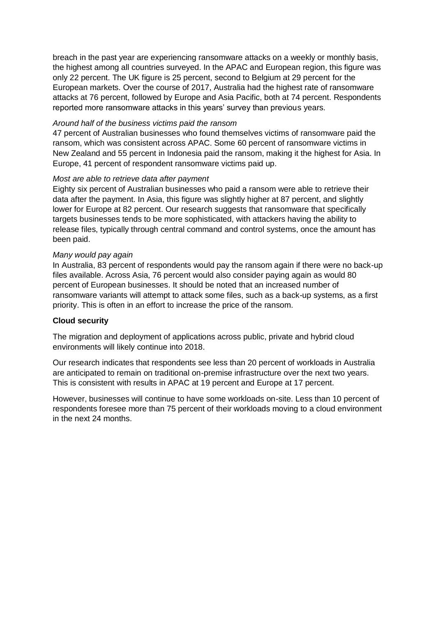breach in the past year are experiencing ransomware attacks on a weekly or monthly basis, the highest among all countries surveyed. In the APAC and European region, this figure was only 22 percent. The UK figure is 25 percent, second to Belgium at 29 percent for the European markets. Over the course of 2017, Australia had the highest rate of ransomware attacks at 76 percent, followed by Europe and Asia Pacific, both at 74 percent. Respondents reported more ransomware attacks in this years' survey than previous years.

## *Around half of the business victims paid the ransom*

47 percent of Australian businesses who found themselves victims of ransomware paid the ransom, which was consistent across APAC. Some 60 percent of ransomware victims in New Zealand and 55 percent in Indonesia paid the ransom, making it the highest for Asia. In Europe, 41 percent of respondent ransomware victims paid up.

#### *Most are able to retrieve data after payment*

Eighty six percent of Australian businesses who paid a ransom were able to retrieve their data after the payment. In Asia, this figure was slightly higher at 87 percent, and slightly lower for Europe at 82 percent. Our research suggests that ransomware that specifically targets businesses tends to be more sophisticated, with attackers having the ability to release files, typically through central command and control systems, once the amount has been paid.

#### *Many would pay again*

In Australia, 83 percent of respondents would pay the ransom again if there were no back-up files available. Across Asia, 76 percent would also consider paying again as would 80 percent of European businesses. It should be noted that an increased number of ransomware variants will attempt to attack some files, such as a back-up systems, as a first priority. This is often in an effort to increase the price of the ransom.

## **Cloud security**

The migration and deployment of applications across public, private and hybrid cloud environments will likely continue into 2018.

Our research indicates that respondents see less than 20 percent of workloads in Australia are anticipated to remain on traditional on-premise infrastructure over the next two years. This is consistent with results in APAC at 19 percent and Europe at 17 percent.

However, businesses will continue to have some workloads on-site. Less than 10 percent of respondents foresee more than 75 percent of their workloads moving to a cloud environment in the next 24 months.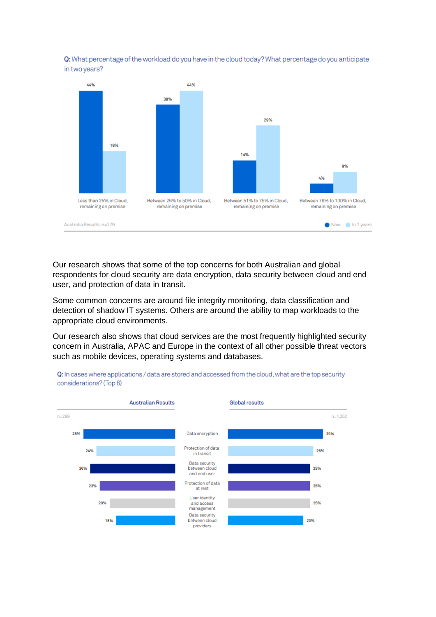



Our research shows that some of the top concerns for both Australian and global respondents for cloud security are data encryption, data security between cloud and end user, and protection of data in transit.

Some common concerns are around file integrity monitoring, data classification and detection of shadow IT systems. Others are around the ability to map workloads to the appropriate cloud environments.

Our research also shows that cloud services are the most frequently highlighted security concern in Australia, APAC and Europe in the context of all other possible threat vectors such as mobile devices, operating systems and databases.



Q: In cases where applications / data are stored and accessed from the cloud, what are the top security considerations? (Top 6)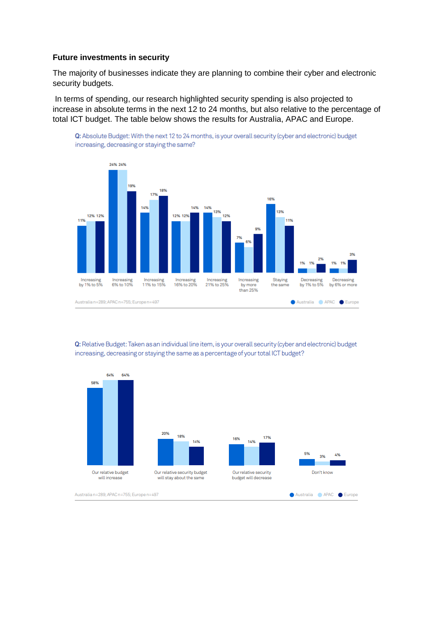#### **Future investments in security**

The majority of businesses indicate they are planning to combine their cyber and electronic security budgets.

In terms of spending, our research highlighted security spending is also projected to increase in absolute terms in the next 12 to 24 months, but also relative to the percentage of total ICT budget. The table below shows the results for Australia, APAC and Europe.

Q: Absolute Budget: With the next 12 to 24 months, is your overall security (cyber and electronic) budget



Q: Relative Budget: Taken as an individual line item, is your overall security (cyber and electronic) budget increasing, decreasing or staying the same as a percentage of your total ICT budget?